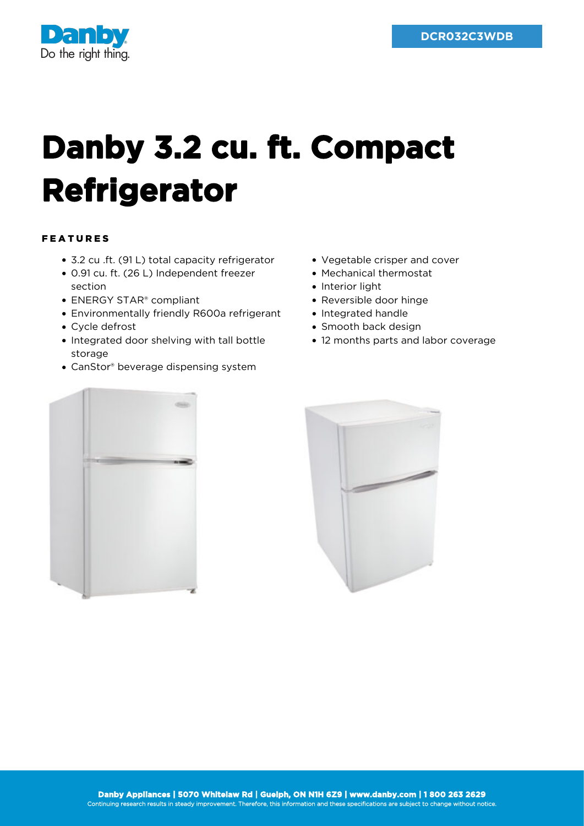

## **Danby 3.2 cu. ft. Compact Refrigerator**

## FEATURES

- 3.2 cu .ft. (91 L) total capacity refrigerator
- 0.91 cu. ft. (26 L) Independent freezer section
- ENERGY STAR® compliant
- Environmentally friendly R600a refrigerant
- Cycle defrost
- Integrated door shelving with tall bottle storage
- CanStor® beverage dispensing system
- Vegetable crisper and cover
- Mechanical thermostat
- Interior light
- Reversible door hinge
- Integrated handle
- Smooth back design
- 12 months parts and labor coverage